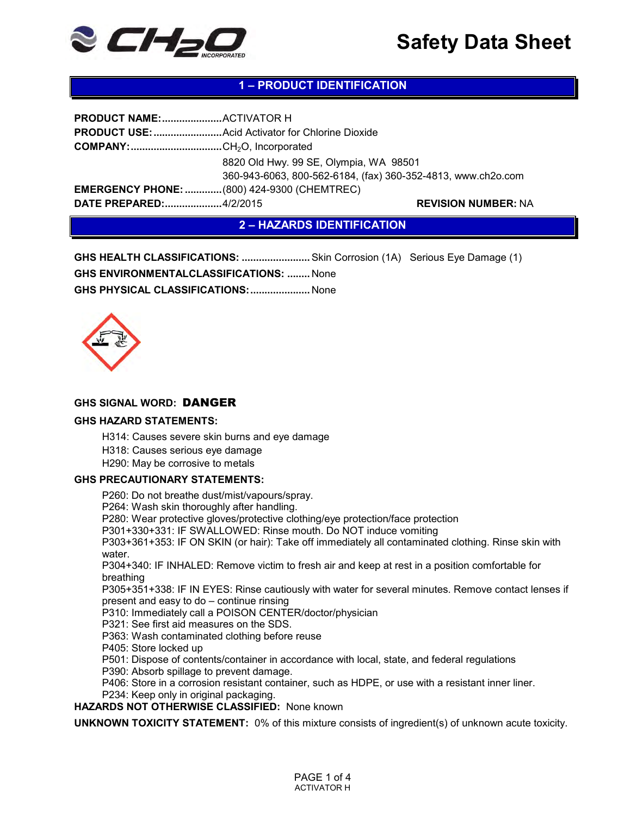

# **1 – PRODUCT IDENTIFICATION**

| <b>COMPANY:</b> CH <sub>2</sub> O, Incorporated    |                                                                                                        |
|----------------------------------------------------|--------------------------------------------------------------------------------------------------------|
|                                                    | 8820 Old Hwy. 99 SE, Olympia, WA 98501<br>360-943-6063, 800-562-6184, (fax) 360-352-4813, www.ch2o.com |
| <b>EMERGENCY PHONE:  (800) 424-9300 (CHEMTREC)</b> |                                                                                                        |
| DATE PREPARED:4/2/2015                             | <b>REVISION NUMBER: NA</b>                                                                             |

**2 – HAZARDS IDENTIFICATION**

**GHS HEALTH CLASSIFICATIONS: ........................**Skin Corrosion (1A) Serious Eye Damage (1) **GHS ENVIRONMENTALCLASSIFICATIONS: ........** None **GHS PHYSICAL CLASSIFICATIONS: .....................** None



#### **GHS SIGNAL WORD:** DANGER

#### **GHS HAZARD STATEMENTS:**

H314: Causes severe skin burns and eye damage

H318: Causes serious eye damage

H290: May be corrosive to metals

#### **GHS PRECAUTIONARY STATEMENTS:**

P260: Do not breathe dust/mist/vapours/spray.

P264: Wash skin thoroughly after handling.

P280: Wear protective gloves/protective clothing/eye protection/face protection

P301+330+331: IF SWALLOWED: Rinse mouth. Do NOT induce vomiting

P303+361+353: IF ON SKIN (or hair): Take off immediately all contaminated clothing. Rinse skin with water.

P304+340: IF INHALED: Remove victim to fresh air and keep at rest in a position comfortable for breathing

P305+351+338: IF IN EYES: Rinse cautiously with water for several minutes. Remove contact lenses if present and easy to do – continue rinsing

P310: Immediately call a POISON CENTER/doctor/physician

P321: See first aid measures on the SDS.

P363: Wash contaminated clothing before reuse

P405: Store locked up

P501: Dispose of contents/container in accordance with local, state, and federal regulations

P390: Absorb spillage to prevent damage.

P406: Store in a corrosion resistant container, such as HDPE, or use with a resistant inner liner.

P234: Keep only in original packaging.

**HAZARDS NOT OTHERWISE CLASSIFIED:** None known

**UNKNOWN TOXICITY STATEMENT:** 0% of this mixture consists of ingredient(s) of unknown acute toxicity.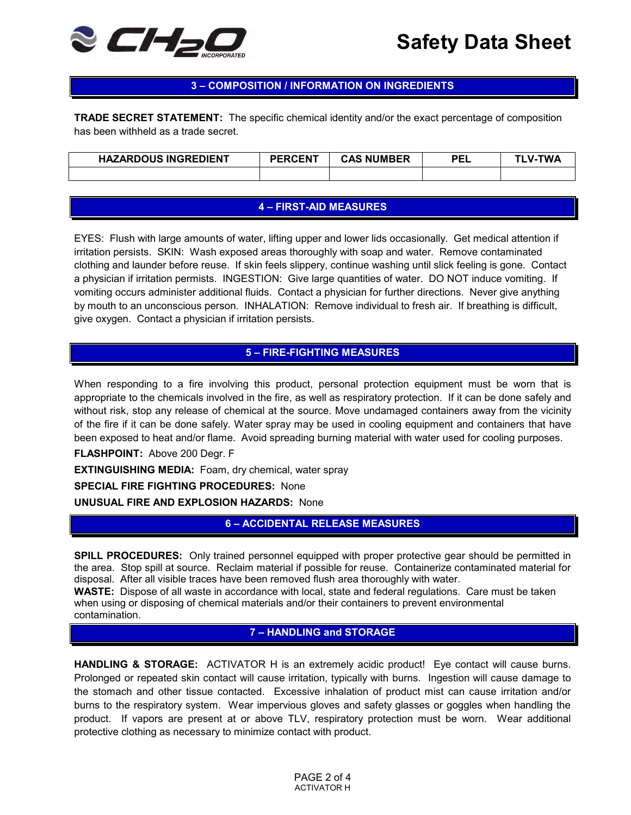

# **3 – COMPOSITION / INFORMATION ON INGREDIENTS**

**TRADE SECRET STATEMENT:** The specific chemical identity and/or the exact percentage of composition has been withheld as a trade secret.

| <b>HAZARDOUS INGREDIENT</b> | <b>PERCENT</b> | <b>CAS NUMBER</b> | PEL | TWA<br>$V -$ |
|-----------------------------|----------------|-------------------|-----|--------------|
|                             |                |                   |     |              |

### **4 – FIRST-AID MEASURES**

EYES: Flush with large amounts of water, lifting upper and lower lids occasionally. Get medical attention if irritation persists. SKIN: Wash exposed areas thoroughly with soap and water. Remove contaminated clothing and launder before reuse. If skin feels slippery, continue washing until slick feeling is gone. Contact a physician if irritation permists. INGESTION: Give large quantities of water. DO NOT induce vomiting. If vomiting occurs administer additional fluids. Contact a physician for further directions. Never give anything by mouth to an unconscious person. INHALATION: Remove individual to fresh air. If breathing is difficult, give oxygen. Contact a physician if irritation persists.

# **5 – FIRE-FIGHTING MEASURES**

When responding to a fire involving this product, personal protection equipment must be worn that is appropriate to the chemicals involved in the fire, as well as respiratory protection. If it can be done safely and without risk, stop any release of chemical at the source. Move undamaged containers away from the vicinity of the fire if it can be done safely. Water spray may be used in cooling equipment and containers that have been exposed to heat and/or flame. Avoid spreading burning material with water used for cooling purposes.

**FLASHPOINT:** Above 200 Degr. F

**EXTINGUISHING MEDIA:** Foam, dry chemical, water spray

**SPECIAL FIRE FIGHTING PROCEDURES:** None

**UNUSUAL FIRE AND EXPLOSION HAZARDS:** None

**6 – ACCIDENTAL RELEASE MEASURES**

**SPILL PROCEDURES:** Only trained personnel equipped with proper protective gear should be permitted in the area. Stop spill at source. Reclaim material if possible for reuse. Containerize contaminated material for disposal. After all visible traces have been removed flush area thoroughly with water.

**WASTE:** Dispose of all waste in accordance with local, state and federal regulations. Care must be taken when using or disposing of chemical materials and/or their containers to prevent environmental contamination.

### **7 – HANDLING and STORAGE**

**HANDLING & STORAGE:** ACTIVATOR H is an extremely acidic product! Eye contact will cause burns. Prolonged or repeated skin contact will cause irritation, typically with burns. Ingestion will cause damage to the stomach and other tissue contacted. Excessive inhalation of product mist can cause irritation and/or burns to the respiratory system. Wear impervious gloves and safety glasses or goggles when handling the product. If vapors are present at or above TLV, respiratory protection must be worn. Wear additional protective clothing as necessary to minimize contact with product.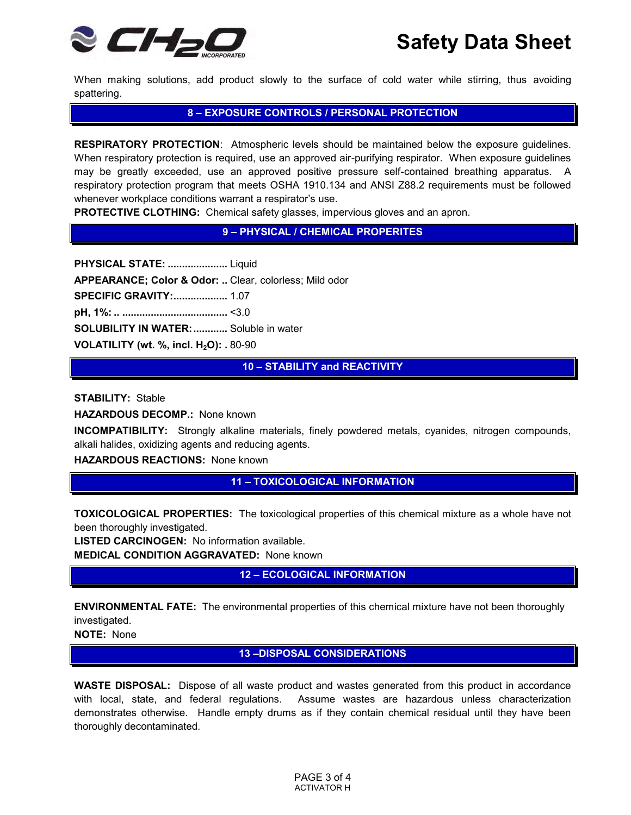

When making solutions, add product slowly to the surface of cold water while stirring, thus avoiding spattering.

# **8 – EXPOSURE CONTROLS / PERSONAL PROTECTION**

**RESPIRATORY PROTECTION**: Atmospheric levels should be maintained below the exposure guidelines. When respiratory protection is required, use an approved air-purifying respirator. When exposure guidelines may be greatly exceeded, use an approved positive pressure self-contained breathing apparatus. A respiratory protection program that meets OSHA 1910.134 and ANSI Z88.2 requirements must be followed whenever workplace conditions warrant a respirator's use.

**PROTECTIVE CLOTHING:** Chemical safety glasses, impervious gloves and an apron.

## **9 – PHYSICAL / CHEMICAL PROPERITES**

**PHYSICAL STATE: .....................** Liquid **APPEARANCE; Color & Odor: ..** Clear, colorless; Mild odor **SPECIFIC GRAVITY: ...................** 1.07 **pH, 1%: .. .....................................** <3.0 **SOLUBILITY IN WATER: ............** Soluble in water **VOLATILITY (wt. %, incl. H2O): .** 80-90

**10 – STABILITY and REACTIVITY**

**STABILITY:** Stable

**HAZARDOUS DECOMP.:** None known

**INCOMPATIBILITY:** Strongly alkaline materials, finely powdered metals, cyanides, nitrogen compounds, alkali halides, oxidizing agents and reducing agents.

**HAZARDOUS REACTIONS:** None known

### **11 – TOXICOLOGICAL INFORMATION**

**TOXICOLOGICAL PROPERTIES:** The toxicological properties of this chemical mixture as a whole have not been thoroughly investigated.

**LISTED CARCINOGEN:** No information available. **MEDICAL CONDITION AGGRAVATED:** None known

**12 – ECOLOGICAL INFORMATION**

**ENVIRONMENTAL FATE:** The environmental properties of this chemical mixture have not been thoroughly investigated.

**NOTE:** None

**13 –DISPOSAL CONSIDERATIONS**

**WASTE DISPOSAL:** Dispose of all waste product and wastes generated from this product in accordance with local, state, and federal regulations. Assume wastes are hazardous unless characterization demonstrates otherwise. Handle empty drums as if they contain chemical residual until they have been thoroughly decontaminated.